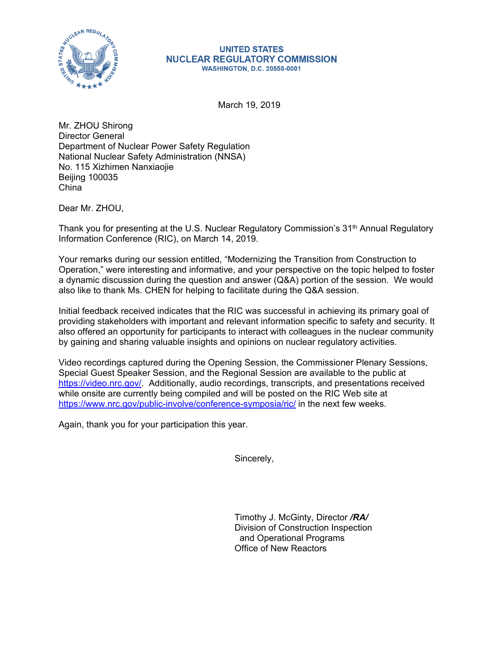

## **UNITED STATES NUCLEAR REGULATORY COMMISSION WASHINGTON, D.C. 20555-0001**

March 19, 2019

Mr. ZHOU Shirong Director General Department of Nuclear Power Safety Regulation National Nuclear Safety Administration (NNSA) No. 115 Xizhimen Nanxiaojie Beijing 100035 China

Dear Mr. ZHOU,

Thank you for presenting at the U.S. Nuclear Regulatory Commission's 31<sup>th</sup> Annual Regulatory Information Conference (RIC), on March 14, 2019.

Your remarks during our session entitled, "Modernizing the Transition from Construction to Operation," were interesting and informative, and your perspective on the topic helped to foster a dynamic discussion during the question and answer (Q&A) portion of the session. We would also like to thank Ms. CHEN for helping to facilitate during the Q&A session.

Initial feedback received indicates that the RIC was successful in achieving its primary goal of providing stakeholders with important and relevant information specific to safety and security. It also offered an opportunity for participants to interact with colleagues in the nuclear community by gaining and sharing valuable insights and opinions on nuclear regulatory activities.

Video recordings captured during the Opening Session, the Commissioner Plenary Sessions, Special Guest Speaker Session, and the Regional Session are available to the public at https://video.nrc.gov/. Additionally, audio recordings, transcripts, and presentations received while onsite are currently being compiled and will be posted on the RIC Web site at https://www.nrc.gov/public-involve/conference-symposia/ric/ in the next few weeks.

Again, thank you for your participation this year.

Sincerely,

Timothy J. McGinty, Director */RA/* Division of Construction Inspection and Operational Programs Office of New Reactors